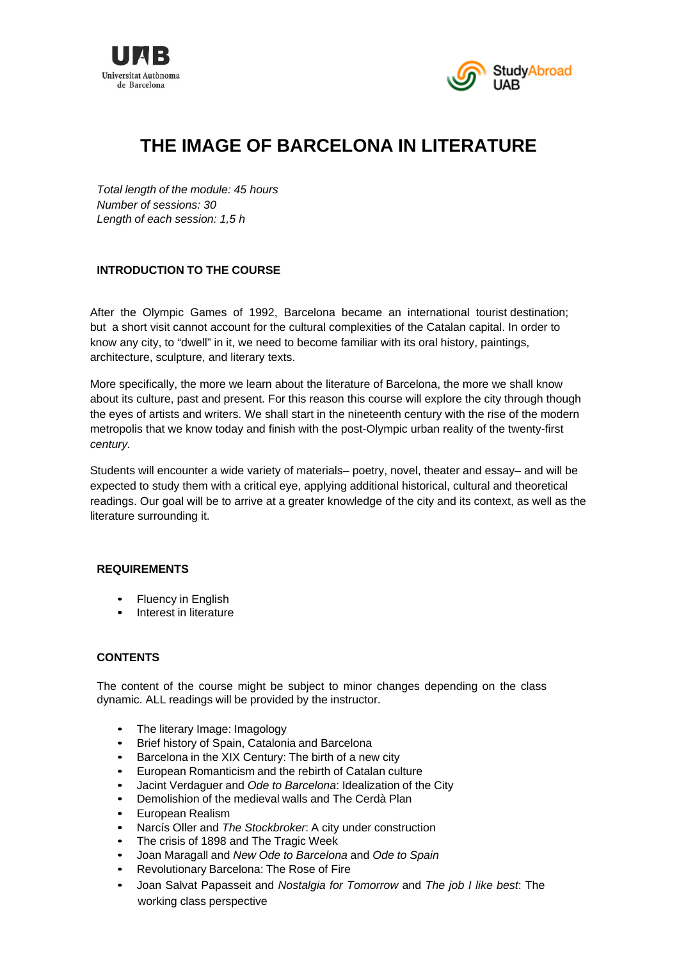



# **THE IMAGE OF BARCELONA IN LITERATURE**

*Total length of the module: 45 hours Number of sessions: 30 Length of each session: 1,5 h*

## **INTRODUCTION TO THE COURSE**

After the Olympic Games of 1992, Barcelona became an international tourist destination; but a short visit cannot account for the cultural complexities of the Catalan capital. In order to know any city, to "dwell" in it, we need to become familiar with its oral history, paintings, architecture, sculpture, and literary texts.

More specifically, the more we learn about the literature of Barcelona, the more we shall know about its culture, past and present. For this reason this course will explore the city through though the eyes of artists and writers. We shall start in the nineteenth century with the rise of the modern metropolis that we know today and finish with the post-Olympic urban reality of the twenty-first *century.* 

Students will encounter a wide variety of materials– poetry, novel, theater and essay– and will be expected to study them with a critical eye, applying additional historical, cultural and theoretical readings. Our goal will be to arrive at a greater knowledge of the city and its context, as well as the literature surrounding it.

### **REQUIREMENTS**

- **Fluency in English**
- Interest in literature

### **CONTENTS**

The content of the course might be subject to minor changes depending on the class dynamic. ALL readings will be provided by the instructor.

- The literary Image: Imagology
- Brief history of Spain, Catalonia and Barcelona
- Barcelona in the XIX Century: The birth of a new city
- European Romanticism and the rebirth of Catalan culture
- Jacint Verdaguer and *Ode to Barcelona*: Idealization of the City
- Demolishion of the medieval walls and The Cerdà Plan
- European Realism
- Narcís Oller and *The Stockbroker*: A city under construction
- The crisis of 1898 and The Tragic Week
- Joan Maragall and *New Ode to Barcelona* and *Ode to Spain*
- Revolutionary Barcelona: The Rose of Fire
- Joan Salvat Papasseit and *Nostalgia for Tomorrow* and *The job I like best*: The working class perspective